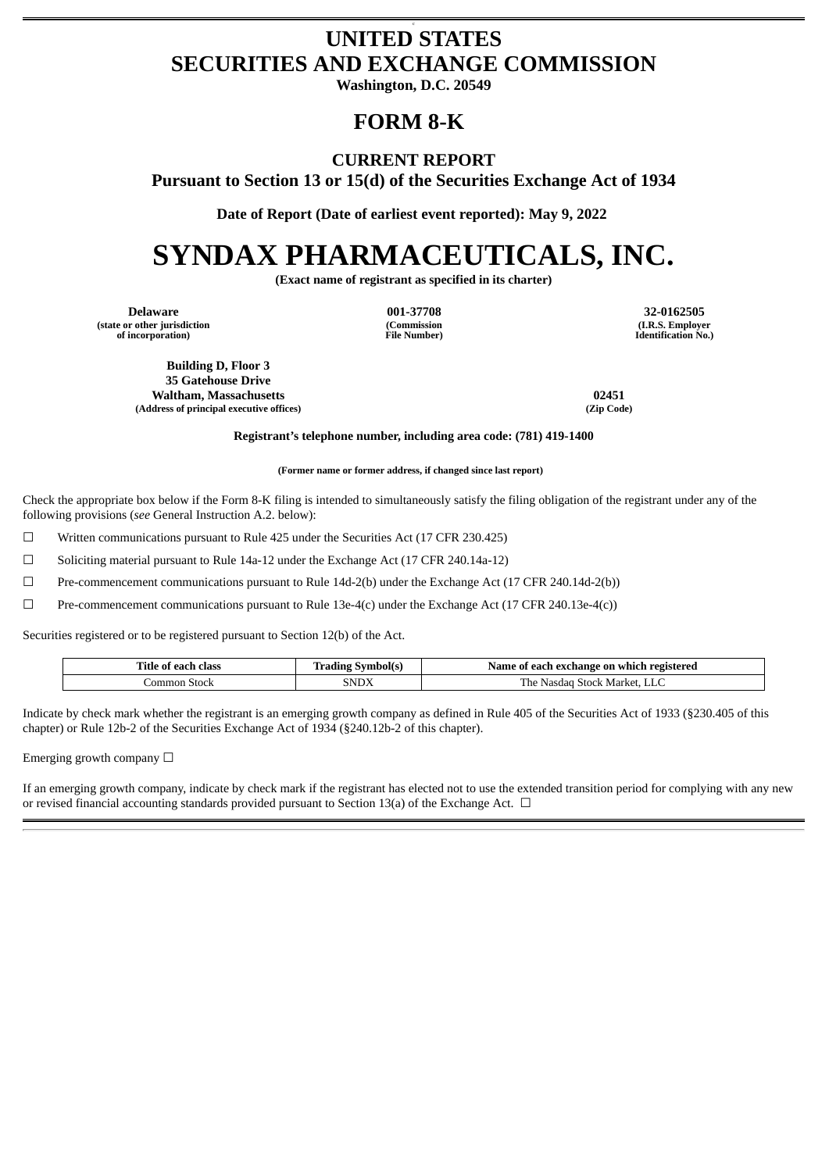## c **UNITED STATES SECURITIES AND EXCHANGE COMMISSION**

**Washington, D.C. 20549**

## **FORM 8-K**

## **CURRENT REPORT**

**Pursuant to Section 13 or 15(d) of the Securities Exchange Act of 1934**

**Date of Report (Date of earliest event reported): May 9, 2022**

# **SYNDAX PHARMACEUTICALS, INC.**

**(Exact name of registrant as specified in its charter)**

**Delaware 001-37708 32-0162505 (state or other jurisdiction of incorporation)**

**(Commission File Number)**

**(I.R.S. Employer Identification No.)**

**Building D, Floor 3 35 Gatehouse Drive Waltham, Massachusetts 02451 (Address of principal executive offices) (Zip Code)**

**Registrant's telephone number, including area code: (781) 419-1400**

**(Former name or former address, if changed since last report)**

Check the appropriate box below if the Form 8-K filing is intended to simultaneously satisfy the filing obligation of the registrant under any of the following provisions (*see* General Instruction A.2. below):

 $\Box$  Written communications pursuant to Rule 425 under the Securities Act (17 CFR 230.425)

☐ Soliciting material pursuant to Rule 14a-12 under the Exchange Act (17 CFR 240.14a-12)

 $\Box$  Pre-commencement communications pursuant to Rule 14d-2(b) under the Exchange Act (17 CFR 240.14d-2(b))

 $□$  Pre-commencement communications pursuant to Rule 13e-4(c) under the Exchange Act (17 CFR 240.13e-4(c))

Securities registered or to be registered pursuant to Section 12(b) of the Act.

| Title of .<br>class<br>eacl<br>__ | --<br>Symbol<br>dıng<br>$\sim$ $\sim$ | Name<br>registered<br>ı exchange on<br>which<br>.<br>Anch<br>n1 |
|-----------------------------------|---------------------------------------|-----------------------------------------------------------------|
| Stock<br>ommon                    | SNDX                                  | - -<br>Stock Market<br>r pe<br>w<br>rdar.<br>NdSt<br>حابلتك     |

Indicate by check mark whether the registrant is an emerging growth company as defined in Rule 405 of the Securities Act of 1933 (§230.405 of this chapter) or Rule 12b-2 of the Securities Exchange Act of 1934 (§240.12b-2 of this chapter).

Emerging growth company  $\Box$ 

If an emerging growth company, indicate by check mark if the registrant has elected not to use the extended transition period for complying with any new or revised financial accounting standards provided pursuant to Section 13(a) of the Exchange Act.  $\Box$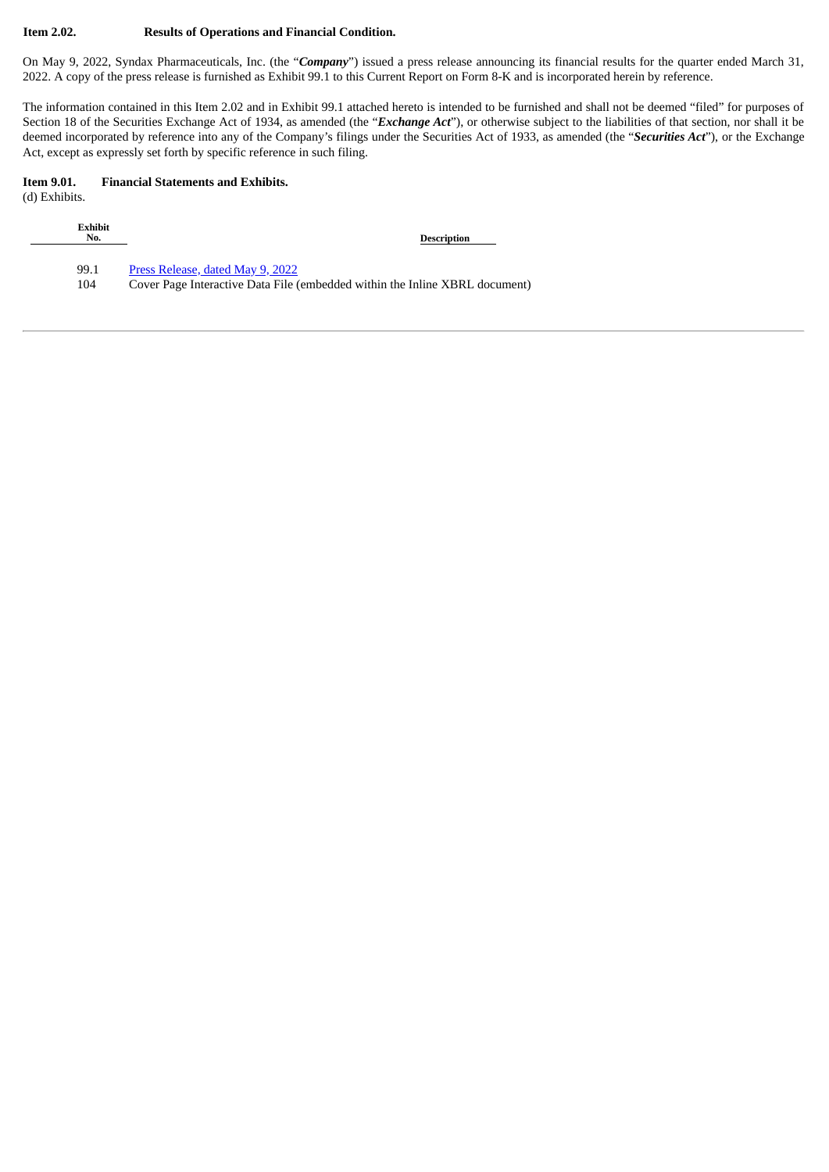#### **Item 2.02. Results of Operations and Financial Condition.**

On May 9, 2022, Syndax Pharmaceuticals, Inc. (the "*Company*") issued a press release announcing its financial results for the quarter ended March 31, 2022. A copy of the press release is furnished as Exhibit 99.1 to this Current Report on Form 8-K and is incorporated herein by reference.

The information contained in this Item 2.02 and in Exhibit 99.1 attached hereto is intended to be furnished and shall not be deemed "filed" for purposes of Section 18 of the Securities Exchange Act of 1934, as amended (the "*Exchange Act*"), or otherwise subject to the liabilities of that section, nor shall it be deemed incorporated by reference into any of the Company's filings under the Securities Act of 1933, as amended (the "*Securities Act*"), or the Exchange Act, except as expressly set forth by specific reference in such filing.

#### **Item 9.01. Financial Statements and Exhibits.**

(d) Exhibits.

| <b>Exhibit</b><br>No. | <b>Description</b>                                                          |
|-----------------------|-----------------------------------------------------------------------------|
| 99.1                  | Press Release, dated May 9, 2022                                            |
| 104                   | Cover Page Interactive Data File (embedded within the Inline XBRL document) |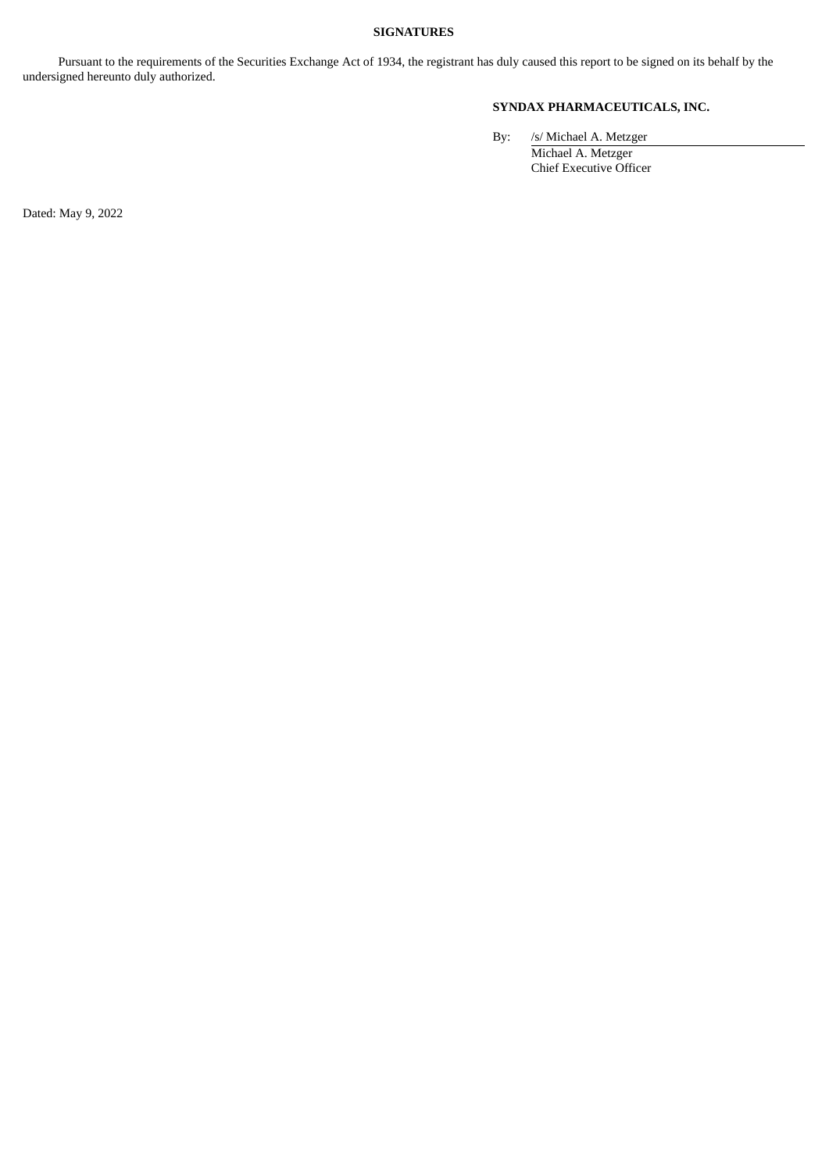#### **SIGNATURES**

Pursuant to the requirements of the Securities Exchange Act of 1934, the registrant has duly caused this report to be signed on its behalf by the undersigned hereunto duly authorized.

### **SYNDAX PHARMACEUTICALS, INC.**

By: /s/ Michael A. Metzger

Michael A. Metzger Chief Executive Officer

Dated: May 9, 2022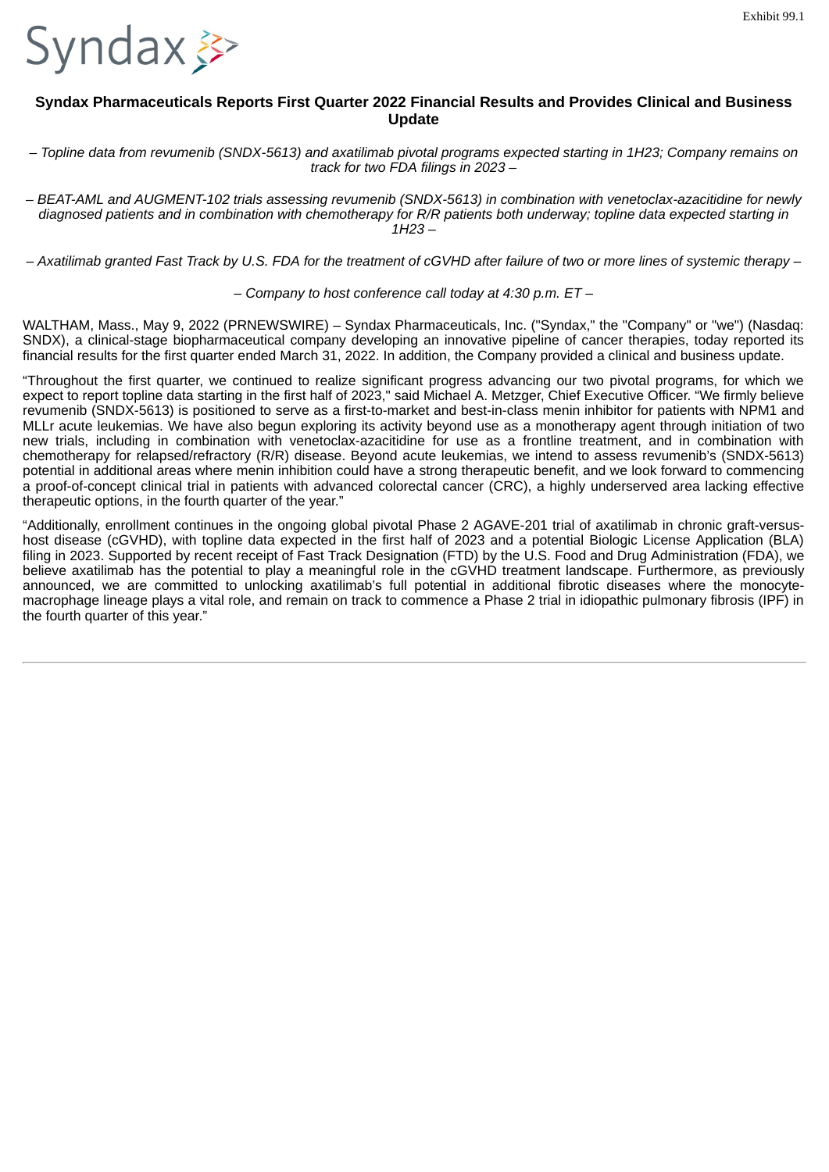<span id="page-3-0"></span>

## **Syndax Pharmaceuticals Reports First Quarter 2022 Financial Results and Provides Clinical and Business Update**

- Topline data from revumenib (SNDX-5613) and axatilimab pivotal programs expected starting in 1H23; Company remains on *track for two FDA filings in 2023 –*

*– BEAT-AML and AUGMENT-102 trials assessing revumenib (SNDX-5613) in combination with venetoclax-azacitidine for newly* diagnosed patients and in combination with chemotherapy for R/R patients both underway; topline data expected starting in *1H23 –*

- Axatilimab granted Fast Track by U.S. FDA for the treatment of cGVHD after failure of two or more lines of systemic therapy -

*– Company to host conference call today at 4:30 p.m. ET –*

WALTHAM, Mass., May 9, 2022 (PRNEWSWIRE) – Syndax Pharmaceuticals, Inc. ("Syndax," the "Company" or "we") (Nasdaq: SNDX), a clinical-stage biopharmaceutical company developing an innovative pipeline of cancer therapies, today reported its financial results for the first quarter ended March 31, 2022. In addition, the Company provided a clinical and business update.

"Throughout the first quarter, we continued to realize significant progress advancing our two pivotal programs, for which we expect to report topline data starting in the first half of 2023," said Michael A. Metzger, Chief Executive Officer. "We firmly believe revumenib (SNDX-5613) is positioned to serve as a first-to-market and best-in-class menin inhibitor for patients with NPM1 and MLLr acute leukemias. We have also begun exploring its activity beyond use as a monotherapy agent through initiation of two new trials, including in combination with venetoclax-azacitidine for use as a frontline treatment, and in combination with chemotherapy for relapsed/refractory (R/R) disease. Beyond acute leukemias, we intend to assess revumenib's (SNDX-5613) potential in additional areas where menin inhibition could have a strong therapeutic benefit, and we look forward to commencing a proof-of-concept clinical trial in patients with advanced colorectal cancer (CRC), a highly underserved area lacking effective therapeutic options, in the fourth quarter of the year."

"Additionally, enrollment continues in the ongoing global pivotal Phase 2 AGAVE-201 trial of axatilimab in chronic graft-versushost disease (cGVHD), with topline data expected in the first half of 2023 and a potential Biologic License Application (BLA) filing in 2023. Supported by recent receipt of Fast Track Designation (FTD) by the U.S. Food and Drug Administration (FDA), we believe axatilimab has the potential to play a meaningful role in the cGVHD treatment landscape. Furthermore, as previously announced, we are committed to unlocking axatilimab's full potential in additional fibrotic diseases where the monocytemacrophage lineage plays a vital role, and remain on track to commence a Phase 2 trial in idiopathic pulmonary fibrosis (IPF) in the fourth quarter of this year."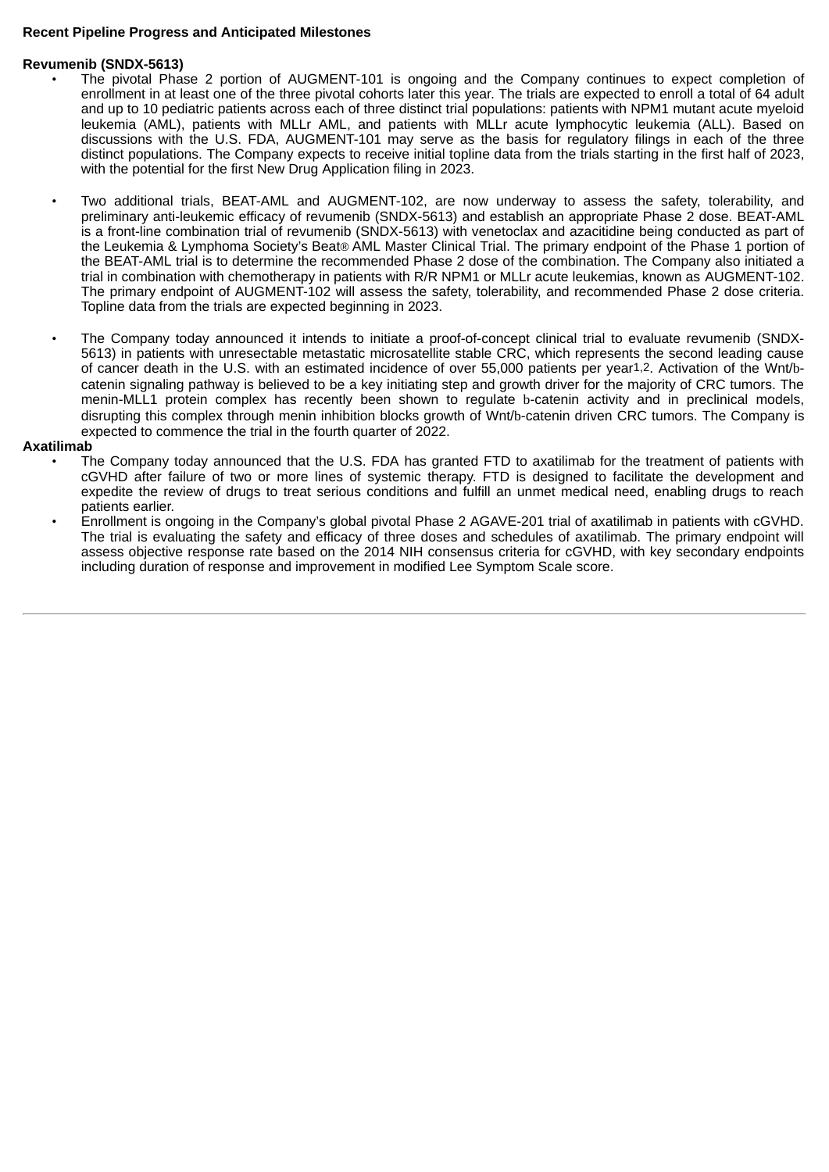#### **Recent Pipeline Progress and Anticipated Milestones**

#### **Revumenib (SNDX-5613)**

- The pivotal Phase 2 portion of AUGMENT-101 is ongoing and the Company continues to expect completion of enrollment in at least one of the three pivotal cohorts later this year. The trials are expected to enroll a total of 64 adult and up to 10 pediatric patients across each of three distinct trial populations: patients with NPM1 mutant acute myeloid leukemia (AML), patients with MLLr AML, and patients with MLLr acute lymphocytic leukemia (ALL). Based on discussions with the U.S. FDA, AUGMENT-101 may serve as the basis for regulatory filings in each of the three distinct populations. The Company expects to receive initial topline data from the trials starting in the first half of 2023, with the potential for the first New Drug Application filing in 2023.
- Two additional trials, BEAT-AML and AUGMENT-102, are now underway to assess the safety, tolerability, and preliminary anti-leukemic efficacy of revumenib (SNDX-5613) and establish an appropriate Phase 2 dose. BEAT-AML is a front-line combination trial of revumenib (SNDX-5613) with venetoclax and azacitidine being conducted as part of the Leukemia & Lymphoma Society's Beat*®* AML Master Clinical Trial. The primary endpoint of the Phase 1 portion of the BEAT-AML trial is to determine the recommended Phase 2 dose of the combination. The Company also initiated a trial in combination with chemotherapy in patients with R/R NPM1 or MLLr acute leukemias, known as AUGMENT-102. The primary endpoint of AUGMENT-102 will assess the safety, tolerability, and recommended Phase 2 dose criteria. Topline data from the trials are expected beginning in 2023.
- The Company today announced it intends to initiate a proof-of-concept clinical trial to evaluate revumenib (SNDX-5613) in patients with unresectable metastatic microsatellite stable CRC, which represents the second leading cause of cancer death in the U.S. with an estimated incidence of over 55,000 patients per year1,2. Activation of the Wnt/bcatenin signaling pathway is believed to be a key initiating step and growth driver for the majority of CRC tumors. The menin-MLL1 protein complex has recently been shown to regulate b-catenin activity and in preclinical models, disrupting this complex through menin inhibition blocks growth of Wnt/b-catenin driven CRC tumors. The Company is expected to commence the trial in the fourth quarter of 2022.

#### **Axatilimab**

- The Company today announced that the U.S. FDA has granted FTD to axatilimab for the treatment of patients with cGVHD after failure of two or more lines of systemic therapy. FTD is designed to facilitate the development and expedite the review of drugs to treat serious conditions and fulfill an unmet medical need, enabling drugs to reach patients earlier.
- Enrollment is ongoing in the Company's global pivotal Phase 2 AGAVE-201 trial of axatilimab in patients with cGVHD. The trial is evaluating the safety and efficacy of three doses and schedules of axatilimab. The primary endpoint will assess objective response rate based on the 2014 NIH consensus criteria for cGVHD, with key secondary endpoints including duration of response and improvement in modified Lee Symptom Scale score.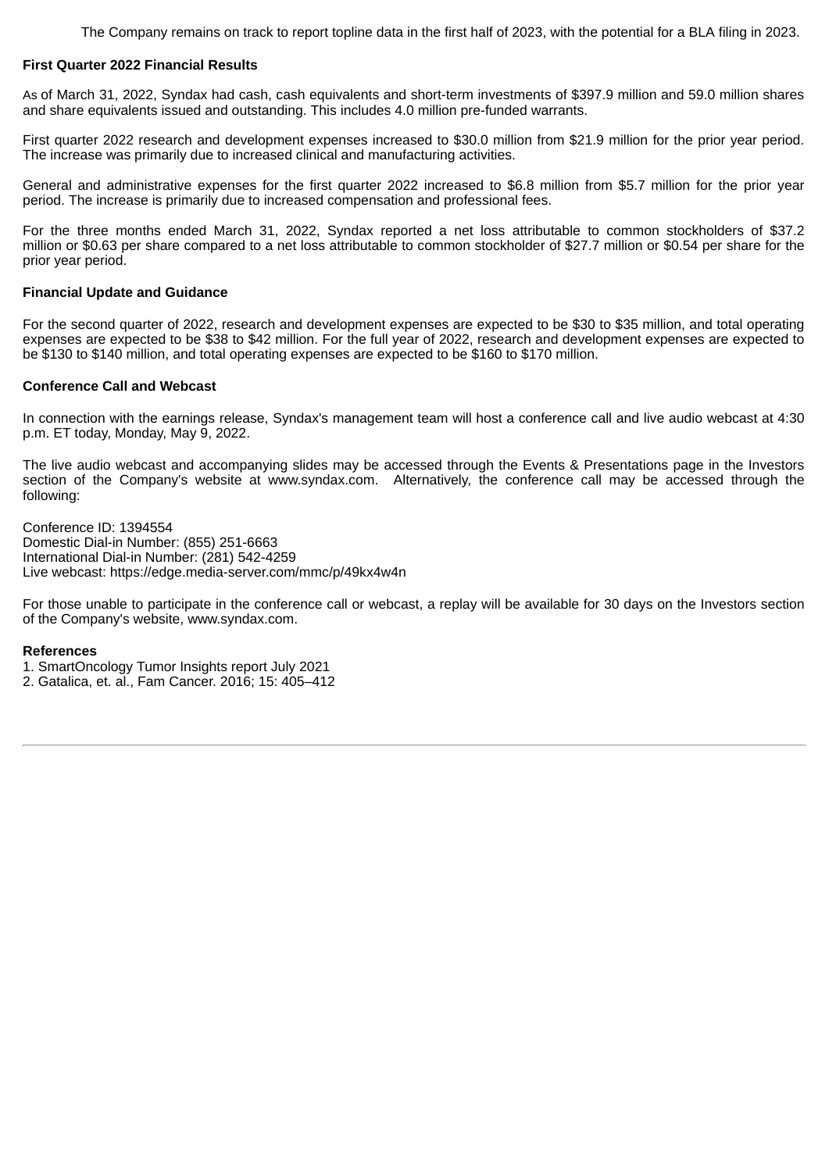The Company remains on track to report topline data in the first half of 2023, with the potential for a BLA filing in 2023.

#### **First Quarter 2022 Financial Results**

As of March 31, 2022, Syndax had cash, cash equivalents and short-term investments of \$397.9 million and 59.0 million shares and share equivalents issued and outstanding. This includes 4.0 million pre-funded warrants.

First quarter 2022 research and development expenses increased to \$30.0 million from \$21.9 million for the prior year period. The increase was primarily due to increased clinical and manufacturing activities.

General and administrative expenses for the first quarter 2022 increased to \$6.8 million from \$5.7 million for the prior year period. The increase is primarily due to increased compensation and professional fees.

For the three months ended March 31, 2022, Syndax reported a net loss attributable to common stockholders of \$37.2 million or \$0.63 per share compared to a net loss attributable to common stockholder of \$27.7 million or \$0.54 per share for the prior year period.

#### **Financial Update and Guidance**

For the second quarter of 2022, research and development expenses are expected to be \$30 to \$35 million, and total operating expenses are expected to be \$38 to \$42 million. For the full year of 2022, research and development expenses are expected to be \$130 to \$140 million, and total operating expenses are expected to be \$160 to \$170 million.

#### **Conference Call and Webcast**

In connection with the earnings release, Syndax's management team will host a conference call and live audio webcast at 4:30 p.m. ET today, Monday, May 9, 2022.

The live audio webcast and accompanying slides may be accessed through the Events & Presentations page in the Investors section of the Company's website at www.syndax.com. Alternatively, the conference call may be accessed through the following:

Conference ID: 1394554 Domestic Dial-in Number: (855) 251-6663 International Dial-in Number: (281) 542-4259 Live webcast: https://edge.media-server.com/mmc/p/49kx4w4n

For those unable to participate in the conference call or webcast, a replay will be available for 30 days on the Investors section of the Company's website, www.syndax.com.

#### **References**

1. SmartOncology Tumor Insights report July 2021

2. Gatalica, et. al., Fam Cancer. 2016; 15: 405–412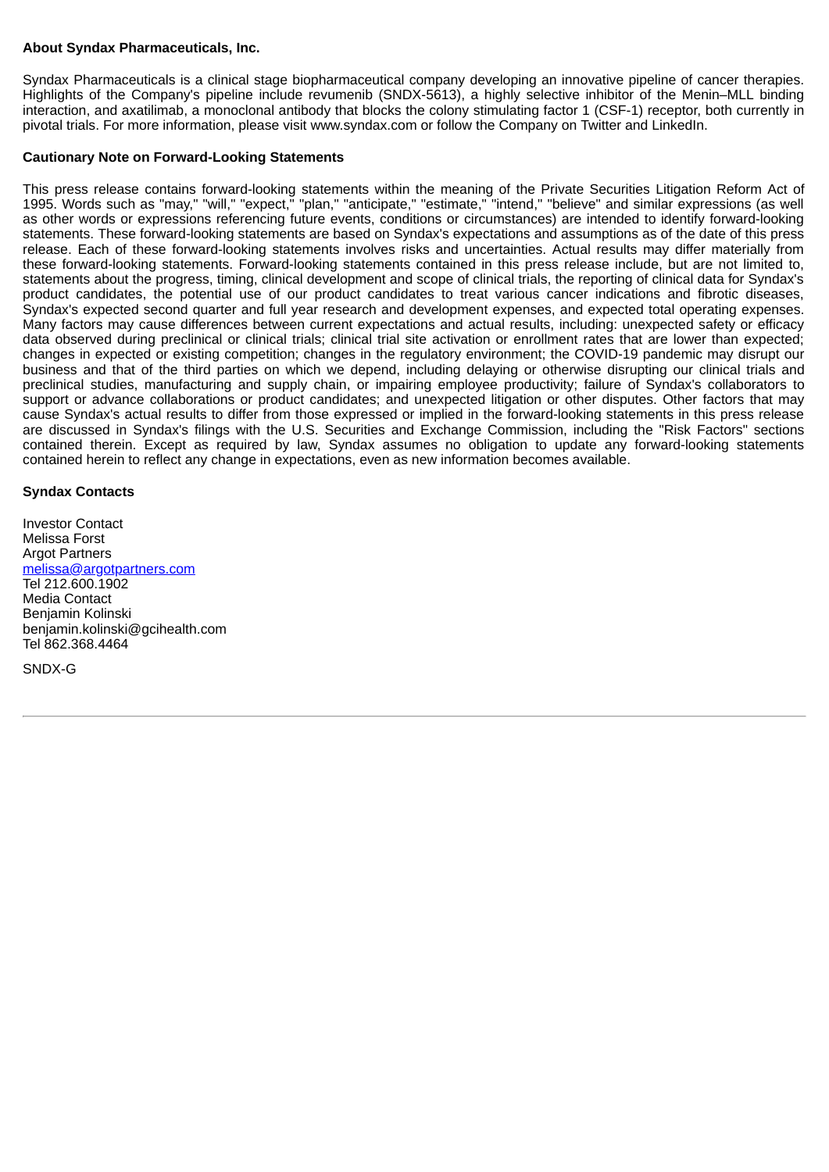#### **About Syndax Pharmaceuticals, Inc.**

Syndax Pharmaceuticals is a clinical stage biopharmaceutical company developing an innovative pipeline of cancer therapies. Highlights of the Company's pipeline include revumenib (SNDX-5613), a highly selective inhibitor of the Menin–MLL binding interaction, and axatilimab, a monoclonal antibody that blocks the colony stimulating factor 1 (CSF-1) receptor, both currently in pivotal trials. For more information, please visit www.syndax.com or follow the Company on Twitter and LinkedIn.

#### **Cautionary Note on Forward-Looking Statements**

This press release contains forward-looking statements within the meaning of the Private Securities Litigation Reform Act of 1995. Words such as "may," "will," "expect," "plan," "anticipate," "estimate," "intend," "believe" and similar expressions (as well as other words or expressions referencing future events, conditions or circumstances) are intended to identify forward-looking statements. These forward-looking statements are based on Syndax's expectations and assumptions as of the date of this press release. Each of these forward-looking statements involves risks and uncertainties. Actual results may differ materially from these forward-looking statements. Forward-looking statements contained in this press release include, but are not limited to, statements about the progress, timing, clinical development and scope of clinical trials, the reporting of clinical data for Syndax's product candidates, the potential use of our product candidates to treat various cancer indications and fibrotic diseases, Syndax's expected second quarter and full year research and development expenses, and expected total operating expenses. Many factors may cause differences between current expectations and actual results, including: unexpected safety or efficacy data observed during preclinical or clinical trials; clinical trial site activation or enrollment rates that are lower than expected; changes in expected or existing competition; changes in the regulatory environment; the COVID-19 pandemic may disrupt our business and that of the third parties on which we depend, including delaying or otherwise disrupting our clinical trials and preclinical studies, manufacturing and supply chain, or impairing employee productivity; failure of Syndax's collaborators to support or advance collaborations or product candidates; and unexpected litigation or other disputes. Other factors that may cause Syndax's actual results to differ from those expressed or implied in the forward-looking statements in this press release are discussed in Syndax's filings with the U.S. Securities and Exchange Commission, including the "Risk Factors" sections contained therein. Except as required by law, Syndax assumes no obligation to update any forward-looking statements contained herein to reflect any change in expectations, even as new information becomes available.

#### **Syndax Contacts**

Investor Contact Melissa Forst Argot Partners melissa@argotpartners.com Tel 212.600.1902 Media Contact Benjamin Kolinski benjamin.kolinski@gcihealth.com Tel 862.368.4464

SNDX-G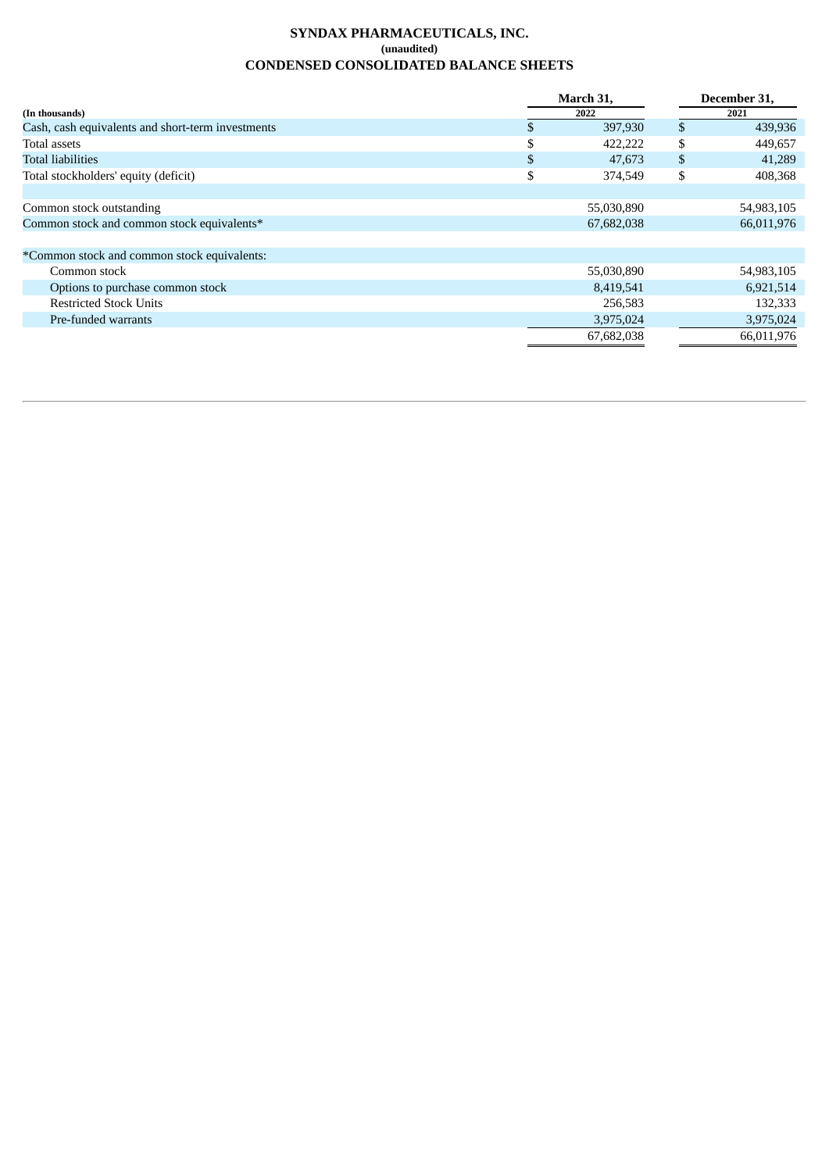## **SYNDAX PHARMACEUTICALS, INC. (unaudited) CONDENSED CONSOLIDATED BALANCE SHEETS**

|                                                   | March 31, |            | December 31, |            |
|---------------------------------------------------|-----------|------------|--------------|------------|
| (In thousands)                                    |           | 2022       |              | 2021       |
| Cash, cash equivalents and short-term investments | S.        | 397,930    | \$           | 439,936    |
| Total assets                                      | S         | 422,222    | \$           | 449,657    |
| <b>Total liabilities</b>                          | \$        | 47,673     | \$           | 41,289     |
| Total stockholders' equity (deficit)              | \$        | 374,549    | \$           | 408,368    |
|                                                   |           |            |              |            |
| Common stock outstanding                          |           | 55,030,890 |              | 54,983,105 |
| Common stock and common stock equivalents*        |           | 67,682,038 |              | 66,011,976 |
|                                                   |           |            |              |            |
| *Common stock and common stock equivalents:       |           |            |              |            |
| Common stock                                      |           | 55,030,890 |              | 54,983,105 |
| Options to purchase common stock                  |           | 8,419,541  |              | 6,921,514  |
| <b>Restricted Stock Units</b>                     |           | 256,583    |              | 132,333    |
| Pre-funded warrants                               |           | 3,975,024  |              | 3,975,024  |
|                                                   |           | 67,682,038 |              | 66,011,976 |